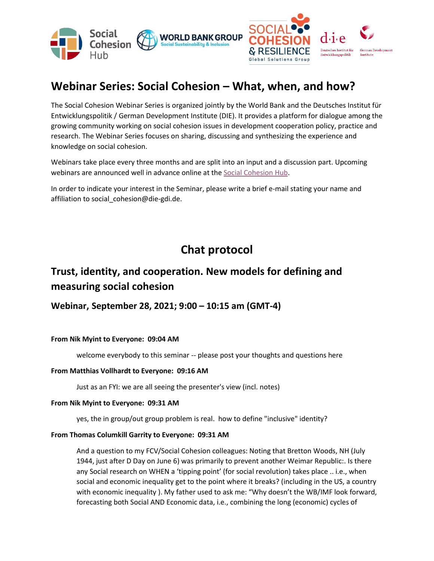

# **Webinar Series: Social Cohesion – What, when, and how?**

The Social Cohesion Webinar Series is organized jointly by the World Bank and the Deutsches Institut für Entwicklungspolitik / German Development Institute (DIE). It provides a platform for dialogue among the growing community working on social cohesion issues in development cooperation policy, practice and research. The Webinar Series focuses on sharing, discussing and synthesizing the experience and knowledge on social cohesion.

Webinars take place every three months and are split into an input and a discussion part. Upcoming webinars are announced well in advance online at th[e Social Cohesion Hub.](http://www.socialcohesion.info/)

In order to indicate your interest in the Seminar, please write a brief e-mail stating your name and affiliation to social\_cohesion@die-gdi.de.

# **Chat protocol**

# **Trust, identity, and cooperation. New models for defining and measuring social cohesion**

# **Webinar, September 28, 2021; 9:00 – 10:15 am (GMT-4)**

# **From Nik Myint to Everyone: 09:04 AM**

welcome everybody to this seminar -- please post your thoughts and questions here

# **From Matthias Vollhardt to Everyone: 09:16 AM**

Just as an FYI: we are all seeing the presenter's view (incl. notes)

# **From Nik Myint to Everyone: 09:31 AM**

yes, the in group/out group problem is real. how to define "inclusive" identity?

# **From Thomas Columkill Garrity to Everyone: 09:31 AM**

And a question to my FCV/Social Cohesion colleagues: Noting that Bretton Woods, NH (July 1944, just after D Day on June 6) was primarily to prevent another Weimar Republic:. Is there any Social research on WHEN a 'tipping point' (for social revolution) takes place .. i.e., when social and economic inequality get to the point where it breaks? (including in the US, a country with economic inequality ). My father used to ask me: "Why doesn't the WB/IMF look forward, forecasting both Social AND Economic data, i.e., combining the long (economic) cycles of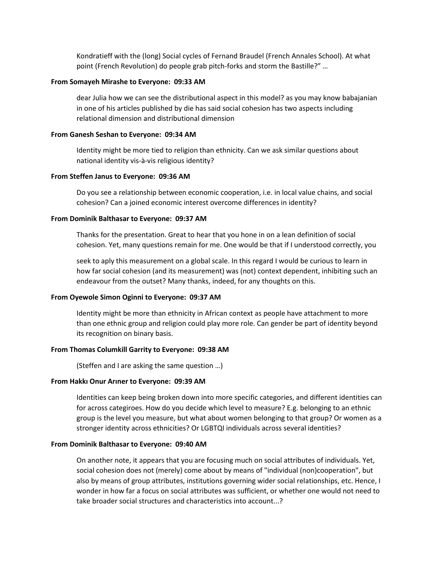Kondratieff with the (long) Social cycles of Fernand Braudel (French Annales School). At what point (French Revolution) do people grab pitch-forks and storm the Bastille?" …

#### **From Somayeh Mirashe to Everyone: 09:33 AM**

dear Julia how we can see the distributional aspect in this model? as you may know babajanian in one of his articles published by die has said social cohesion has two aspects including relational dimension and distributional dimension

#### **From Ganesh Seshan to Everyone: 09:34 AM**

Identity might be more tied to religion than ethnicity. Can we ask similar questions about national identity vis-à-vis religious identity?

### **From Steffen Janus to Everyone: 09:36 AM**

Do you see a relationship between economic cooperation, i.e. in local value chains, and social cohesion? Can a joined economic interest overcome differences in identity?

### **From Dominik Balthasar to Everyone: 09:37 AM**

Thanks for the presentation. Great to hear that you hone in on a lean definition of social cohesion. Yet, many questions remain for me. One would be that if I understood correctly, you

seek to aply this measurement on a global scale. In this regard I would be curious to learn in how far social cohesion (and its measurement) was (not) context dependent, inhibiting such an endeavour from the outset? Many thanks, indeed, for any thoughts on this.

# **From Oyewole Simon Oginni to Everyone: 09:37 AM**

Identity might be more than ethnicity in African context as people have attachment to more than one ethnic group and religion could play more role. Can gender be part of identity beyond its recognition on binary basis.

#### **From Thomas Columkill Garrity to Everyone: 09:38 AM**

(Steffen and I are asking the same question …)

#### **From Hakkı Onur Arıner to Everyone: 09:39 AM**

Identities can keep being broken down into more specific categories, and different identities can for across categiroes. How do you decide which level to measure? E.g. belonging to an ethnic group is the level you measure, but what about women belonging to that group? Or women as a stronger identity across ethnicities? Or LGBTQI individuals across several identities?

#### **From Dominik Balthasar to Everyone: 09:40 AM**

On another note, it appears that you are focusing much on social attributes of individuals. Yet, social cohesion does not (merely) come about by means of "individual (non)cooperation", but also by means of group attributes, institutions governing wider social relationships, etc. Hence, I wonder in how far a focus on social attributes was sufficient, or whether one would not need to take broader social structures and characteristics into account...?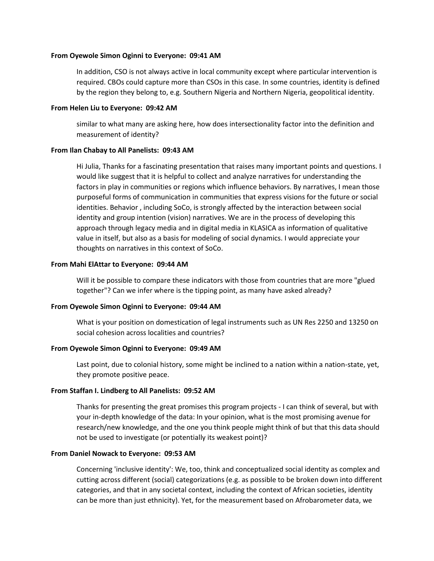#### **From Oyewole Simon Oginni to Everyone: 09:41 AM**

In addition, CSO is not always active in local community except where particular intervention is required. CBOs could capture more than CSOs in this case. In some countries, identity is defined by the region they belong to, e.g. Southern Nigeria and Northern Nigeria, geopolitical identity.

#### **From Helen Liu to Everyone: 09:42 AM**

similar to what many are asking here, how does intersectionality factor into the definition and measurement of identity?

# **From Ilan Chabay to All Panelists: 09:43 AM**

Hi Julia, Thanks for a fascinating presentation that raises many important points and questions. I would like suggest that it is helpful to collect and analyze narratives for understanding the factors in play in communities or regions which influence behaviors. By narratives, I mean those purposeful forms of communication in communities that express visions for the future or social identities. Behavior , including SoCo, is strongly affected by the interaction between social identity and group intention (vision) narratives. We are in the process of developing this approach through legacy media and in digital media in KLASICA as information of qualitative value in itself, but also as a basis for modeling of social dynamics. I would appreciate your thoughts on narratives in this context of SoCo.

# **From Mahi ElAttar to Everyone: 09:44 AM**

Will it be possible to compare these indicators with those from countries that are more "glued together"? Can we infer where is the tipping point, as many have asked already?

# **From Oyewole Simon Oginni to Everyone: 09:44 AM**

What is your position on domestication of legal instruments such as UN Res 2250 and 13250 on social cohesion across localities and countries?

# **From Oyewole Simon Oginni to Everyone: 09:49 AM**

Last point, due to colonial history, some might be inclined to a nation within a nation-state, yet, they promote positive peace.

# **From Staffan I. Lindberg to All Panelists: 09:52 AM**

Thanks for presenting the great promises this program projects - I can think of several, but with your in-depth knowledge of the data: In your opinion, what is the most promising avenue for research/new knowledge, and the one you think people might think of but that this data should not be used to investigate (or potentially its weakest point)?

#### **From Daniel Nowack to Everyone: 09:53 AM**

Concerning 'inclusive identity': We, too, think and conceptualized social identity as complex and cutting across different (social) categorizations (e.g. as possible to be broken down into different categories, and that in any societal context, including the context of African societies, identity can be more than just ethnicity). Yet, for the measurement based on Afrobarometer data, we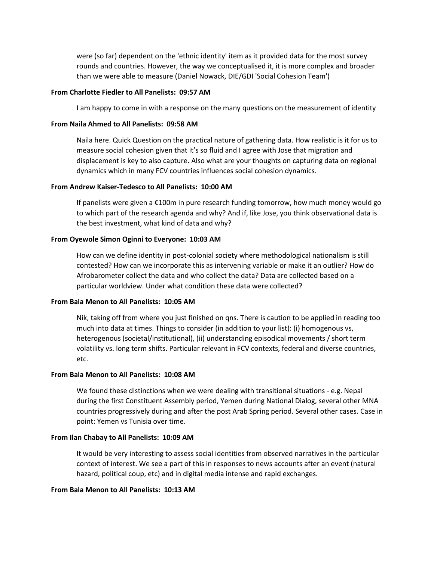were (so far) dependent on the 'ethnic identity' item as it provided data for the most survey rounds and countries. However, the way we conceptualised it, it is more complex and broader than we were able to measure (Daniel Nowack, DIE/GDI 'Social Cohesion Team')

### **From Charlotte Fiedler to All Panelists: 09:57 AM**

I am happy to come in with a response on the many questions on the measurement of identity

#### **From Naila Ahmed to All Panelists: 09:58 AM**

Naila here. Quick Question on the practical nature of gathering data. How realistic is it for us to measure social cohesion given that it's so fluid and I agree with Jose that migration and displacement is key to also capture. Also what are your thoughts on capturing data on regional dynamics which in many FCV countries influences social cohesion dynamics.

# **From Andrew Kaiser-Tedesco to All Panelists: 10:00 AM**

If panelists were given a €100m in pure research funding tomorrow, how much money would go to which part of the research agenda and why? And if, like Jose, you think observational data is the best investment, what kind of data and why?

#### **From Oyewole Simon Oginni to Everyone: 10:03 AM**

How can we define identity in post-colonial society where methodological nationalism is still contested? How can we incorporate this as intervening variable or make it an outlier? How do Afrobarometer collect the data and who collect the data? Data are collected based on a particular worldview. Under what condition these data were collected?

# **From Bala Menon to All Panelists: 10:05 AM**

Nik, taking off from where you just finished on qns. There is caution to be applied in reading too much into data at times. Things to consider (in addition to your list): (i) homogenous vs, heterogenous (societal/institutional), (ii) understanding episodical movements / short term volatility vs. long term shifts. Particular relevant in FCV contexts, federal and diverse countries, etc.

# **From Bala Menon to All Panelists: 10:08 AM**

We found these distinctions when we were dealing with transitional situations - e.g. Nepal during the first Constituent Assembly period, Yemen during National Dialog, several other MNA countries progressively during and after the post Arab Spring period. Several other cases. Case in point: Yemen vs Tunisia over time.

#### **From Ilan Chabay to All Panelists: 10:09 AM**

It would be very interesting to assess social identities from observed narratives in the particular context of interest. We see a part of this in responses to news accounts after an event (natural hazard, political coup, etc) and in digital media intense and rapid exchanges.

### **From Bala Menon to All Panelists: 10:13 AM**